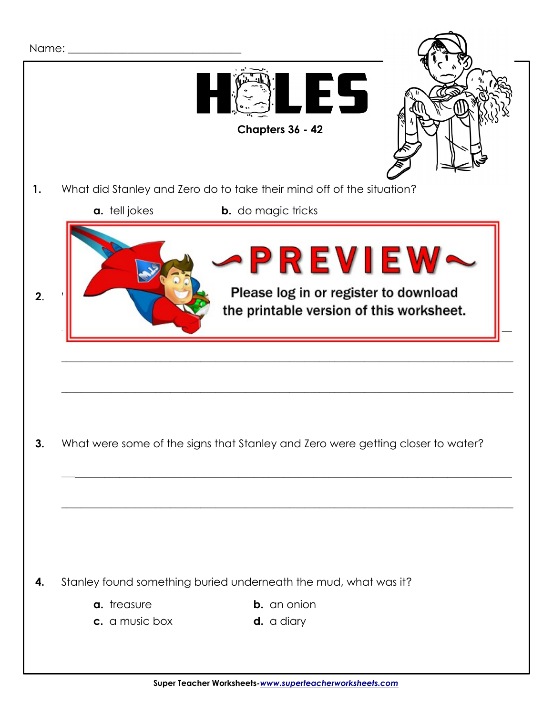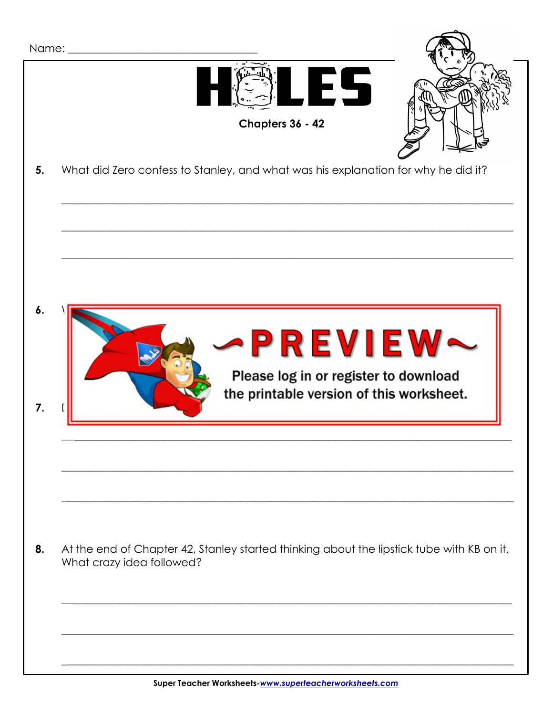|    | Name: when the contract of the contract of the contract of the contract of the contract of the contract of the contract of the contract of the contract of the contract of the contract of the contract of the contract of the |
|----|--------------------------------------------------------------------------------------------------------------------------------------------------------------------------------------------------------------------------------|
|    | <b>LES</b><br>Chapters 36 - 42                                                                                                                                                                                                 |
| 5. | What did Zero confess to Stanley, and what was his explanation for why he did it?                                                                                                                                              |
|    |                                                                                                                                                                                                                                |
|    |                                                                                                                                                                                                                                |
| 6. |                                                                                                                                                                                                                                |
| 7. | -PREVIEW~<br>Please log in or register to download<br>the printable version of this worksheet.                                                                                                                                 |
|    |                                                                                                                                                                                                                                |
|    |                                                                                                                                                                                                                                |
|    |                                                                                                                                                                                                                                |
| 8. | At the end of Chapter 42, Stanley started thinking about the lipstick tube with KB on it.<br>What crazy idea followed?                                                                                                         |
|    |                                                                                                                                                                                                                                |
|    |                                                                                                                                                                                                                                |

Super Teacher Worksheets-www.superteacherworksheets.com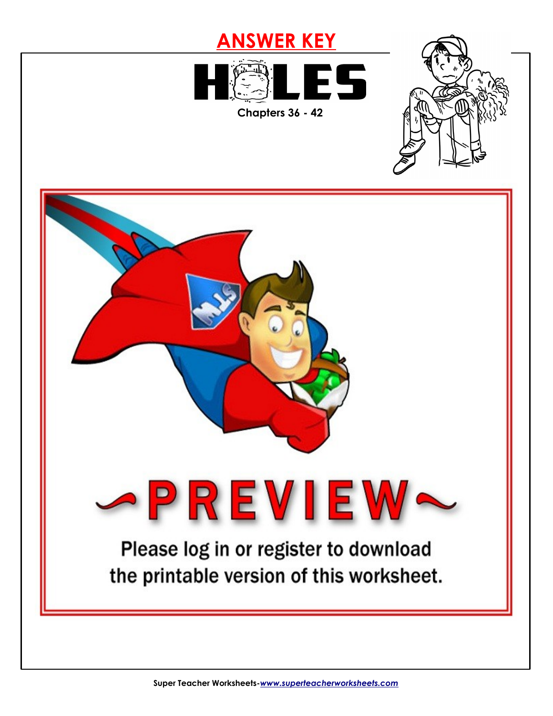